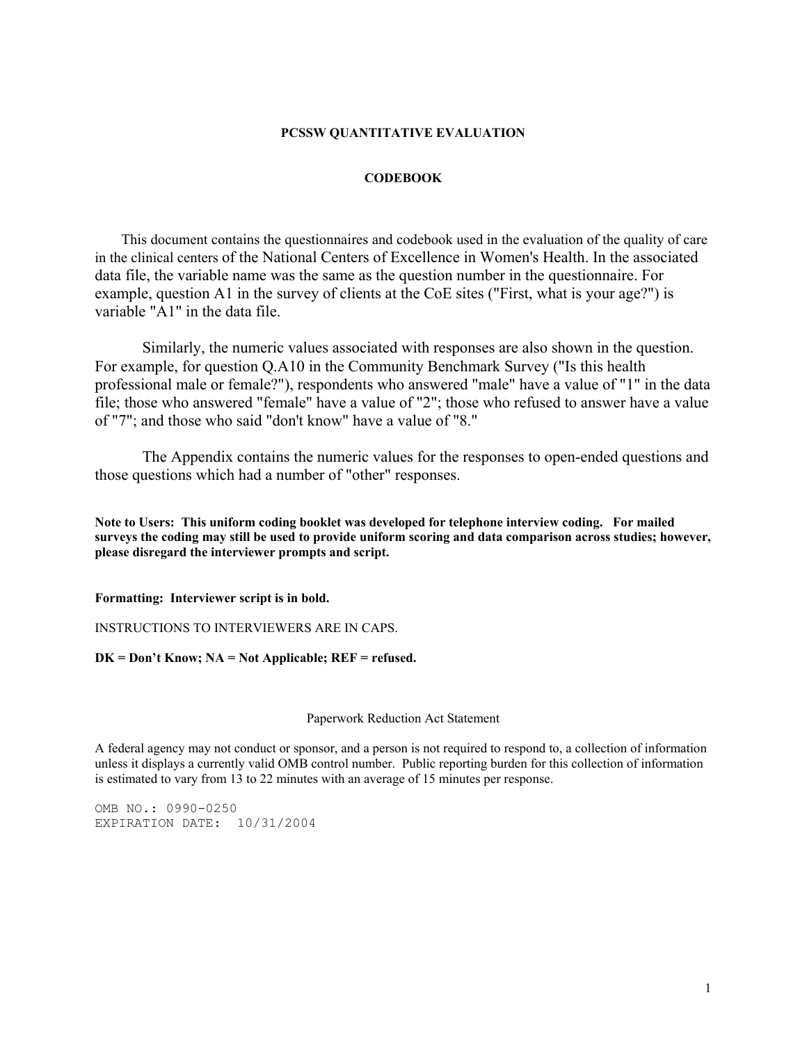## **PCSSW QUANTITATIVE EVALUATION**

## **CODEBOOK**

 This document contains the questionnaires and codebook used in the evaluation of the quality of care in the clinical centers of the National Centers of Excellence in Women's Health. In the associated data file, the variable name was the same as the question number in the questionnaire. For example, question A1 in the survey of clients at the CoE sites ("First, what is your age?") is variable "A1" in the data file.

Similarly, the numeric values associated with responses are also shown in the question. For example, for question Q.A10 in the Community Benchmark Survey ("Is this health professional male or female?"), respondents who answered "male" have a value of "1" in the data file; those who answered "female" have a value of "2"; those who refused to answer have a value of "7"; and those who said "don't know" have a value of "8."

The Appendix contains the numeric values for the responses to open-ended questions and those questions which had a number of "other" responses.

**Note to Users: This uniform coding booklet was developed for telephone interview coding. For mailed surveys the coding may still be used to provide uniform scoring and data comparison across studies; however, please disregard the interviewer prompts and script.** 

**Formatting: Interviewer script is in bold.** 

INSTRUCTIONS TO INTERVIEWERS ARE IN CAPS.

**DK = Don't Know; NA = Not Applicable; REF = refused.** 

Paperwork Reduction Act Statement

A federal agency may not conduct or sponsor, and a person is not required to respond to, a collection of information unless it displays a currently valid OMB control number. Public reporting burden for this collection of information is estimated to vary from 13 to 22 minutes with an average of 15 minutes per response.

OMB NO.: 0990-0250 EXPIRATION DATE: 10/31/2004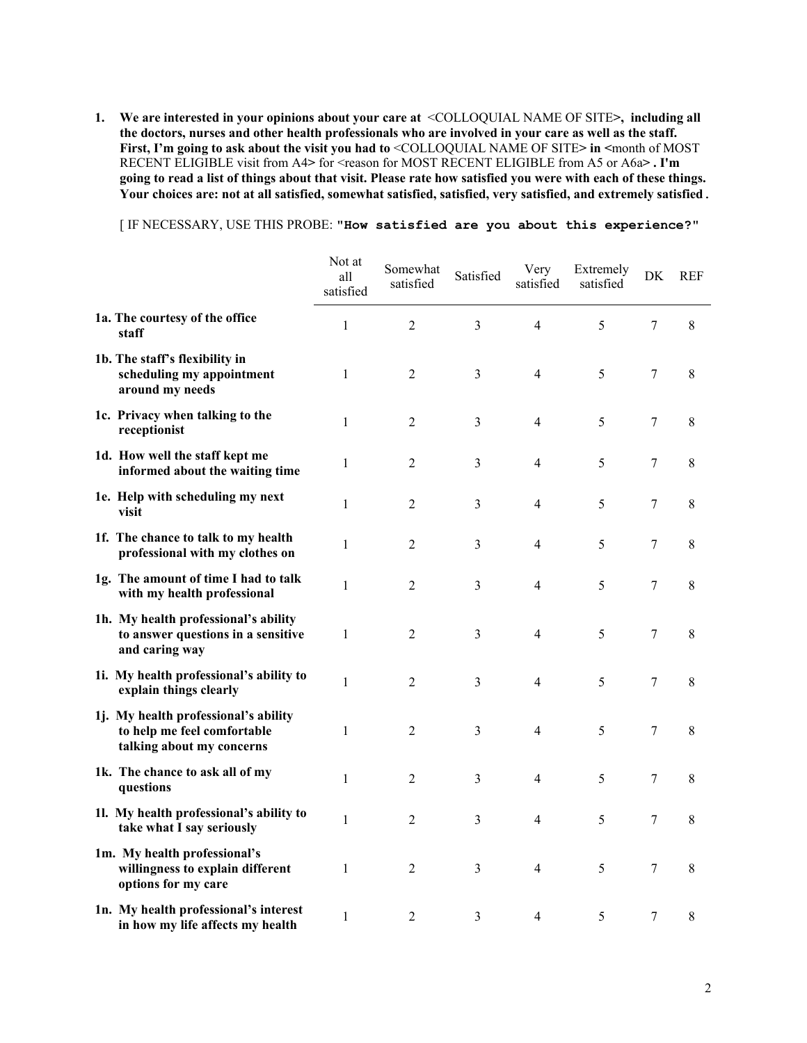**1. We are interested in your opinions about your care at** <COLLOQUIAL NAME OF SITE**>, including all the doctors, nurses and other health professionals who are involved in your care as well as the staff.**  First, I'm going to ask about the visit you had to <COLLOQUIAL NAME OF SITE> in <month of MOST RECENT ELIGIBLE visit from A4> for <reason for MOST RECENT ELIGIBLE from A5 or A6a>. I'm **going to read a list of things about that visit. Please rate how satisfied you were with each of these things. Your choices are: not at all satisfied, somewhat satisfied, satisfied, very satisfied, and extremely satisfied**.

[ IF NECESSARY, USE THIS PROBE: **"How satisfied are you about this experience?"**

|                                                                                                  | Not at<br>all<br>satisfied | Somewhat<br>satisfied | Satisfied | Very<br>satisfied | Extremely<br>satisfied | DK               | <b>REF</b>  |
|--------------------------------------------------------------------------------------------------|----------------------------|-----------------------|-----------|-------------------|------------------------|------------------|-------------|
| 1a. The courtesy of the office<br>staff                                                          | 1                          | 2                     | 3         | 4                 | 5                      | 7                | 8           |
| 1b. The staff's flexibility in<br>scheduling my appointment<br>around my needs                   | $\mathbf{1}$               | 2                     | 3         | 4                 | 5                      | $\tau$           | 8           |
| 1c. Privacy when talking to the<br>receptionist                                                  | $\mathbf{1}$               | $\overline{2}$        | 3         | 4                 | 5                      | 7                | 8           |
| 1d. How well the staff kept me<br>informed about the waiting time                                | $\mathbf{1}$               | $\overline{2}$        | 3         | 4                 | 5                      | $\tau$           | $\,$ 8 $\,$ |
| 1e. Help with scheduling my next<br>visit                                                        | $\mathbf{1}$               | $\overline{2}$        | 3         | 4                 | 5                      | $\tau$           | $\,$ 8 $\,$ |
| 1f. The chance to talk to my health<br>professional with my clothes on                           | 1                          | 2                     | 3         | 4                 | 5                      | 7                | $\,8\,$     |
| 1g. The amount of time I had to talk<br>with my health professional                              | $\mathbf{1}$               | $\overline{2}$        | 3         | 4                 | 5                      | $\tau$           | 8           |
| 1h. My health professional's ability<br>to answer questions in a sensitive<br>and caring way     | $\mathbf{1}$               | $\overline{2}$        | 3         | 4                 | 5                      | 7                | 8           |
| 1i. My health professional's ability to<br>explain things clearly                                | $\mathbf{1}$               | 2                     | 3         | 4                 | 5                      | $\tau$           | $\,$ 8 $\,$ |
| 1j. My health professional's ability<br>to help me feel comfortable<br>talking about my concerns | $\mathbf{1}$               | $\overline{2}$        | 3         | 4                 | 5                      | 7                | $\,$ 8 $\,$ |
| 1k. The chance to ask all of my<br>questions                                                     | $\mathbf{1}$               | $\overline{2}$        | 3         | 4                 | 5                      | 7                | $\,$ 8 $\,$ |
| 11. My health professional's ability to<br>take what I say seriously                             | $\mathbf{1}$               | $\overline{2}$        | 3         | 4                 | 5                      | 7                | $\,$ 8 $\,$ |
| 1m. My health professional's<br>willingness to explain different<br>options for my care          | $\mathbf{1}$               | $\overline{2}$        | 3         | 4                 | 5                      | $\boldsymbol{7}$ | $\,8\,$     |
| 1n. My health professional's interest<br>in how my life affects my health                        | 1                          | $\overline{2}$        | 3         | 4                 | 5                      | 7                | $\,8\,$     |